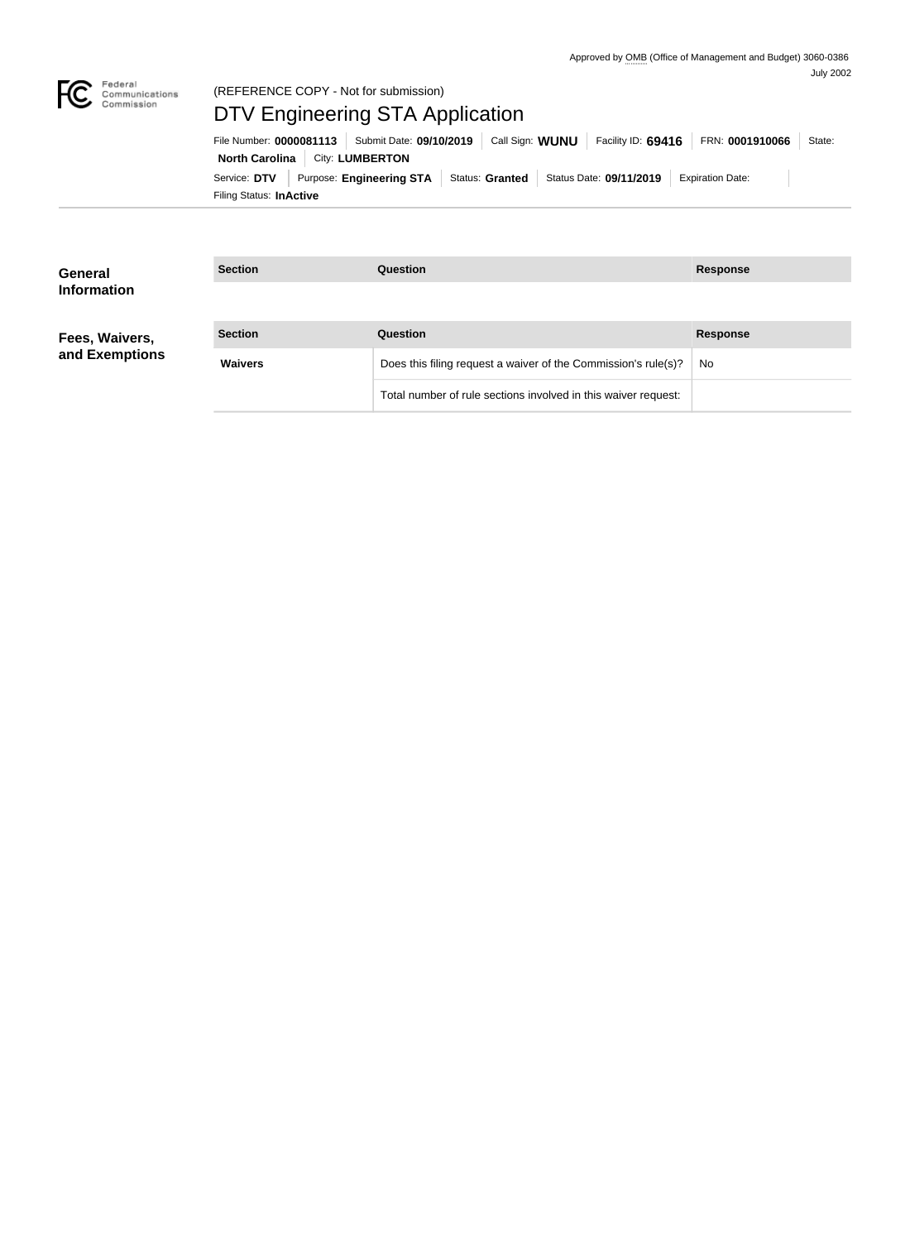

### Federal<br>Communications<br>Commission (REFERENCE COPY - Not for submission)

# DTV Engineering STA Application

Filing Status: **InActive** Service: DTV Purpose: Engineering STA Status: Granted Status Date: 09/11/2019 Expiration Date: **North Carolina City: LUMBERTON** File Number: **0000081113** Submit Date: **09/10/2019** Call Sign: **WUNU** Facility ID: **69416** FRN: **0001910066** State:

| <b>General</b><br><b>Information</b> | <b>Section</b> | Question                                                       | <b>Response</b> |
|--------------------------------------|----------------|----------------------------------------------------------------|-----------------|
| Fees, Waivers,                       | <b>Section</b> | Question                                                       | <b>Response</b> |
| and Exemptions                       | <b>Waivers</b> | Does this filing request a waiver of the Commission's rule(s)? | No.             |
|                                      |                | Total number of rule sections involved in this waiver request: |                 |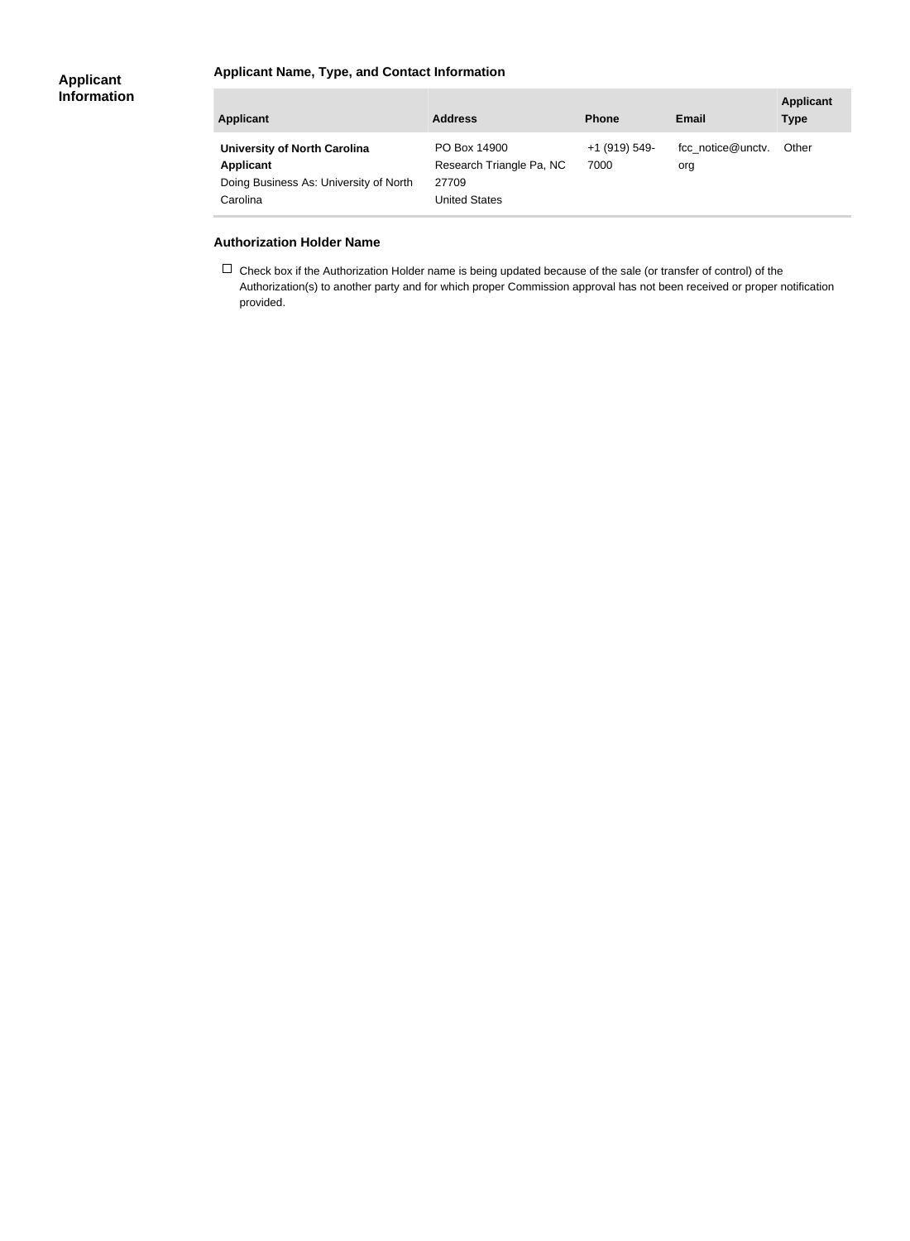#### **Applicant Name, Type, and Contact Information**

| <b>Applicant</b>                                                                                              | <b>Address</b>                                                            | <b>Phone</b>          | <b>Email</b>             | <b>Applicant</b><br><b>Type</b> |
|---------------------------------------------------------------------------------------------------------------|---------------------------------------------------------------------------|-----------------------|--------------------------|---------------------------------|
| <b>University of North Carolina</b><br><b>Applicant</b><br>Doing Business As: University of North<br>Carolina | PO Box 14900<br>Research Triangle Pa, NC<br>27709<br><b>United States</b> | +1 (919) 549-<br>7000 | fcc notice@unctv.<br>org | Other                           |

#### **Authorization Holder Name**

×

 $\Box$  Check box if the Authorization Holder name is being updated because of the sale (or transfer of control) of the Authorization(s) to another party and for which proper Commission approval has not been received or proper notification provided.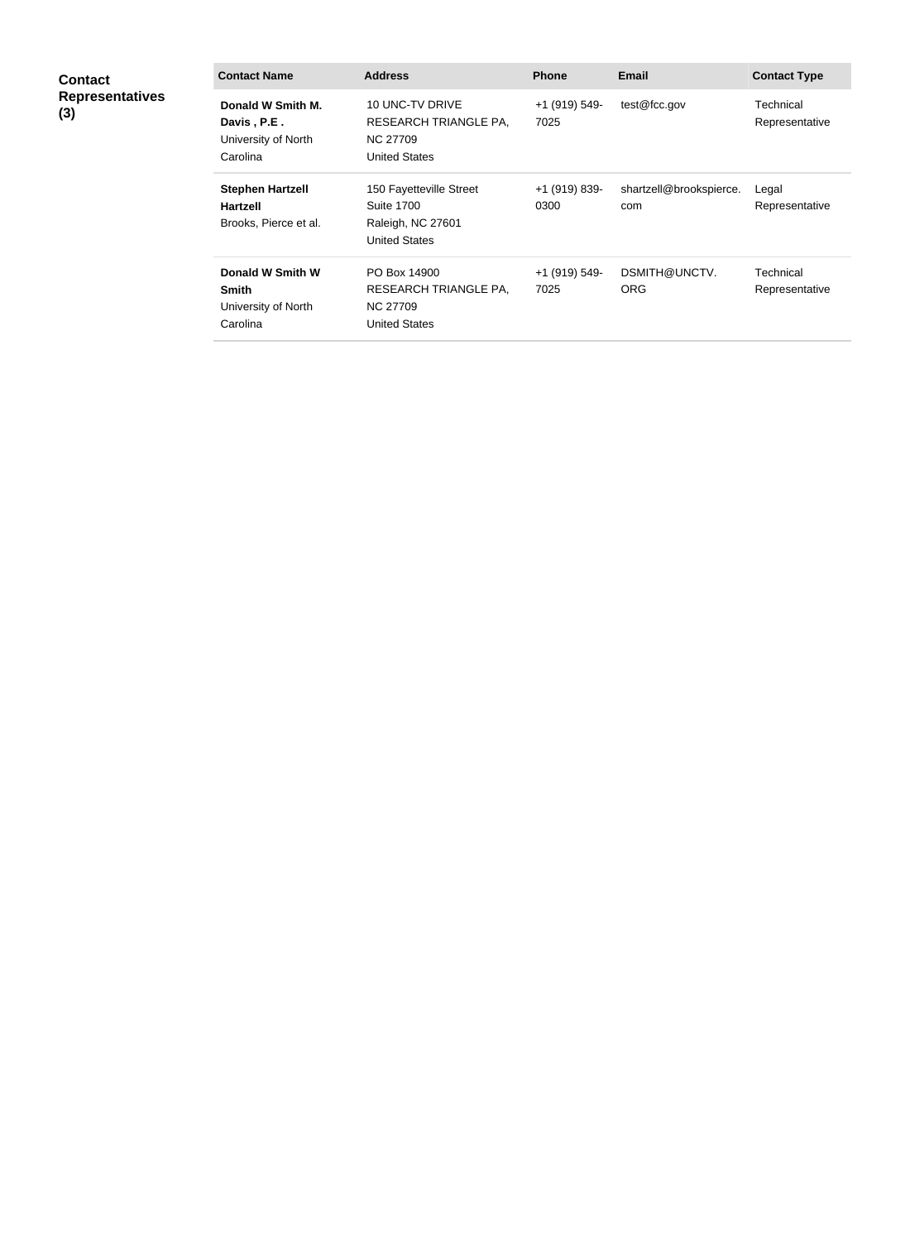| <b>Contact</b><br><b>Representatives</b><br>(3) | <b>Contact Name</b>                                                 | <b>Address</b>                                                                             | <b>Phone</b>          | <b>Email</b>                   | <b>Contact Type</b>         |
|-------------------------------------------------|---------------------------------------------------------------------|--------------------------------------------------------------------------------------------|-----------------------|--------------------------------|-----------------------------|
|                                                 | Donald W Smith M.<br>Davis, P.E.<br>University of North<br>Carolina | 10 UNC-TV DRIVE<br><b>RESEARCH TRIANGLE PA,</b><br><b>NC 27709</b><br><b>United States</b> | +1 (919) 549-<br>7025 | test@fcc.gov                   | Technical<br>Representative |
|                                                 | <b>Stephen Hartzell</b><br><b>Hartzell</b><br>Brooks, Pierce et al. | 150 Fayetteville Street<br><b>Suite 1700</b><br>Raleigh, NC 27601<br><b>United States</b>  | +1 (919) 839-<br>0300 | shartzell@brookspierce.<br>com | Legal<br>Representative     |
|                                                 | Donald W Smith W<br><b>Smith</b><br>University of North<br>Carolina | PO Box 14900<br><b>RESEARCH TRIANGLE PA,</b><br><b>NC 27709</b><br><b>United States</b>    | +1 (919) 549-<br>7025 | DSMITH@UNCTV.<br><b>ORG</b>    | Technical<br>Representative |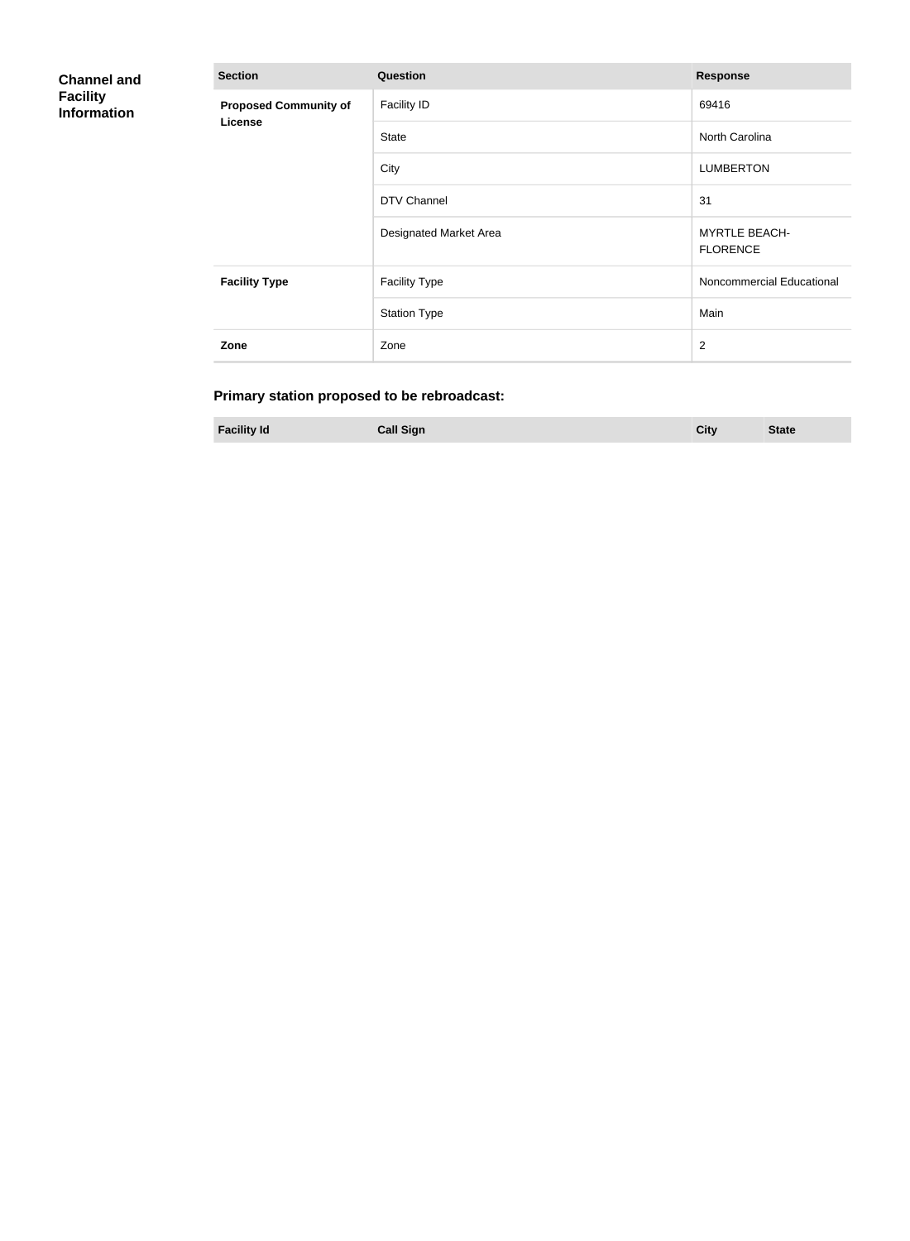| <b>Channel and</b><br><b>Facility</b><br><b>Information</b> | <b>Section</b>                          | Question               | <b>Response</b>                         |
|-------------------------------------------------------------|-----------------------------------------|------------------------|-----------------------------------------|
|                                                             | <b>Proposed Community of</b><br>License | <b>Facility ID</b>     | 69416                                   |
|                                                             |                                         | <b>State</b>           | North Carolina                          |
|                                                             |                                         | City                   | <b>LUMBERTON</b>                        |
|                                                             |                                         | DTV Channel            | 31                                      |
|                                                             |                                         | Designated Market Area | <b>MYRTLE BEACH-</b><br><b>FLORENCE</b> |
|                                                             | <b>Facility Type</b>                    | <b>Facility Type</b>   | Noncommercial Educational               |
|                                                             |                                         | <b>Station Type</b>    | Main                                    |
|                                                             | Zone                                    | Zone                   | $\overline{2}$                          |

## **Primary station proposed to be rebroadcast:**

| <b>Facility Id</b> | <b>Call Sign</b> | City | <b>State</b> |
|--------------------|------------------|------|--------------|
|                    |                  |      |              |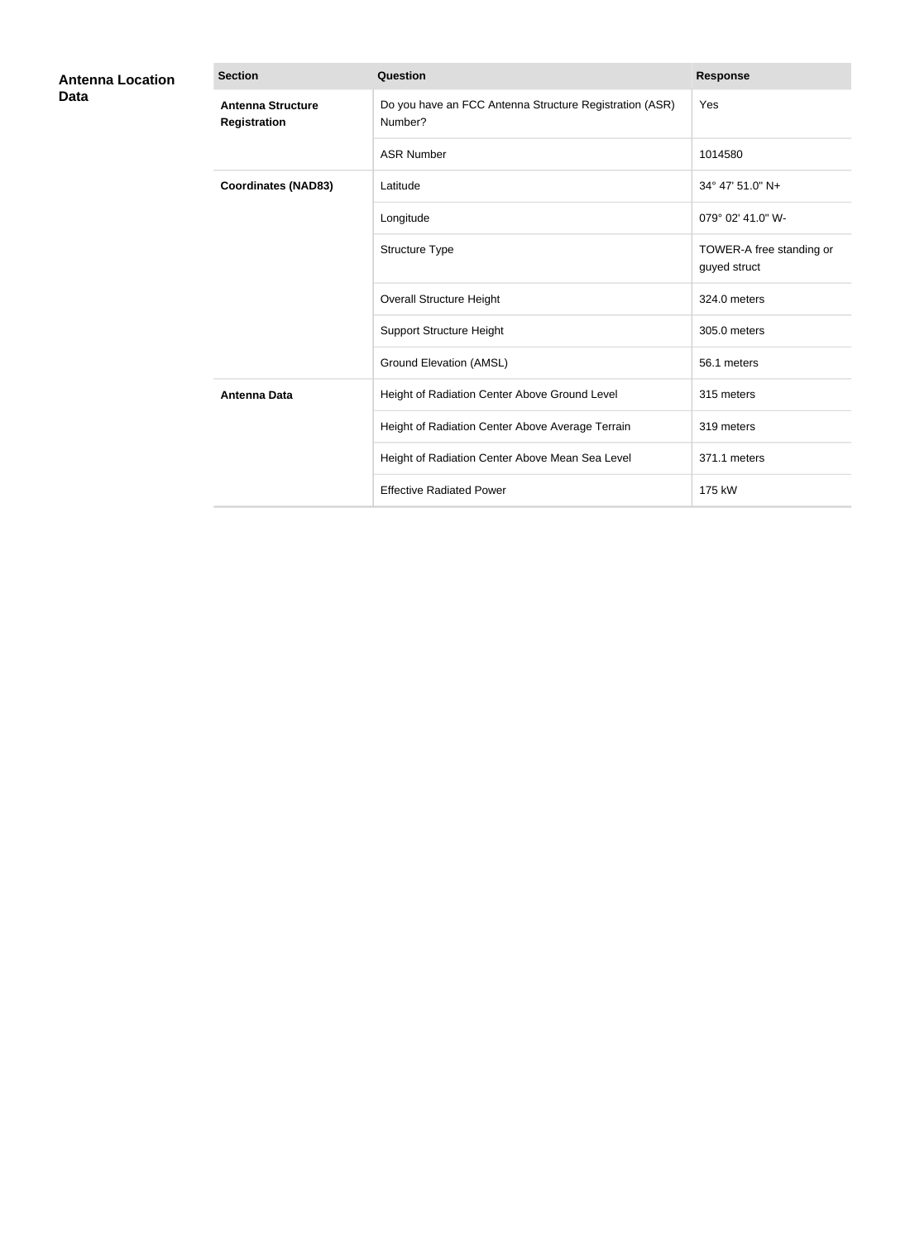| <b>Antenna Location</b><br>Data | <b>Section</b>                                  | Question                                                           | <b>Response</b>                          |
|---------------------------------|-------------------------------------------------|--------------------------------------------------------------------|------------------------------------------|
|                                 | <b>Antenna Structure</b><br><b>Registration</b> | Do you have an FCC Antenna Structure Registration (ASR)<br>Number? | Yes                                      |
|                                 |                                                 | <b>ASR Number</b>                                                  | 1014580                                  |
|                                 | <b>Coordinates (NAD83)</b>                      | Latitude                                                           | 34° 47' 51.0" N+                         |
|                                 |                                                 | Longitude                                                          | 079° 02' 41.0" W-                        |
|                                 |                                                 | Structure Type                                                     | TOWER-A free standing or<br>guyed struct |
|                                 |                                                 | <b>Overall Structure Height</b>                                    | 324.0 meters                             |
|                                 |                                                 | <b>Support Structure Height</b>                                    | 305.0 meters                             |
|                                 |                                                 | <b>Ground Elevation (AMSL)</b>                                     | 56.1 meters                              |
|                                 | <b>Antenna Data</b>                             | Height of Radiation Center Above Ground Level                      | 315 meters                               |
|                                 |                                                 | Height of Radiation Center Above Average Terrain                   | 319 meters                               |
|                                 |                                                 | Height of Radiation Center Above Mean Sea Level                    | 371.1 meters                             |
|                                 |                                                 | <b>Effective Radiated Power</b>                                    | 175 kW                                   |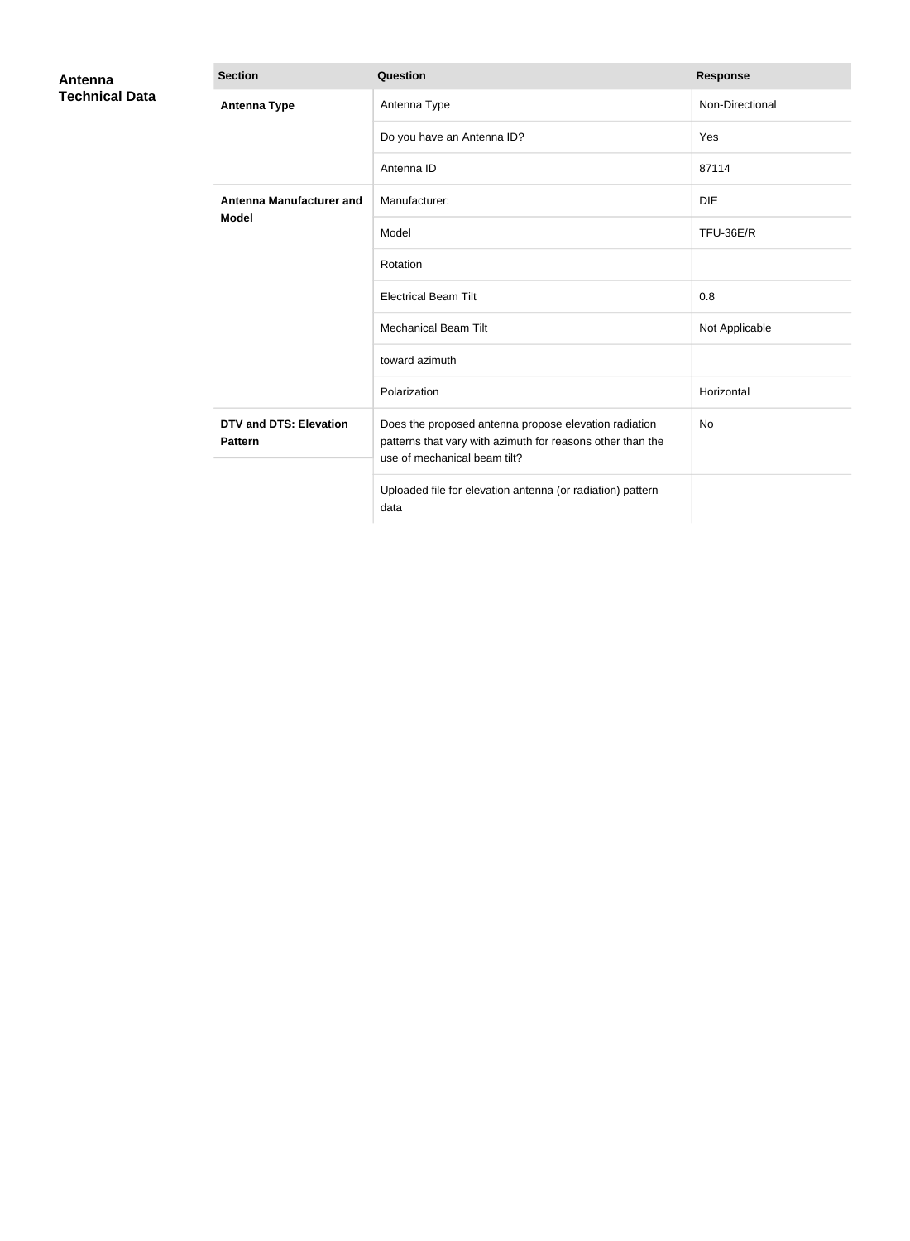| Antenna<br><b>Technical Data</b> | <b>Section</b>                                  | Question                                                                                                                                            | <b>Response</b> |
|----------------------------------|-------------------------------------------------|-----------------------------------------------------------------------------------------------------------------------------------------------------|-----------------|
|                                  | <b>Antenna Type</b>                             | Antenna Type                                                                                                                                        | Non-Directional |
|                                  |                                                 | Do you have an Antenna ID?                                                                                                                          | Yes             |
|                                  |                                                 | Antenna ID                                                                                                                                          | 87114           |
|                                  | <b>Antenna Manufacturer and</b><br><b>Model</b> | Manufacturer:                                                                                                                                       | <b>DIE</b>      |
|                                  |                                                 | Model                                                                                                                                               | TFU-36E/R       |
|                                  |                                                 | Rotation                                                                                                                                            |                 |
|                                  |                                                 | <b>Electrical Beam Tilt</b>                                                                                                                         | 0.8             |
|                                  |                                                 | <b>Mechanical Beam Tilt</b>                                                                                                                         | Not Applicable  |
|                                  |                                                 | toward azimuth                                                                                                                                      |                 |
|                                  |                                                 | Polarization                                                                                                                                        | Horizontal      |
|                                  | <b>DTV and DTS: Elevation</b><br><b>Pattern</b> | Does the proposed antenna propose elevation radiation<br>patterns that vary with azimuth for reasons other than the<br>use of mechanical beam tilt? | <b>No</b>       |
|                                  |                                                 | Uploaded file for elevation antenna (or radiation) pattern<br>data                                                                                  |                 |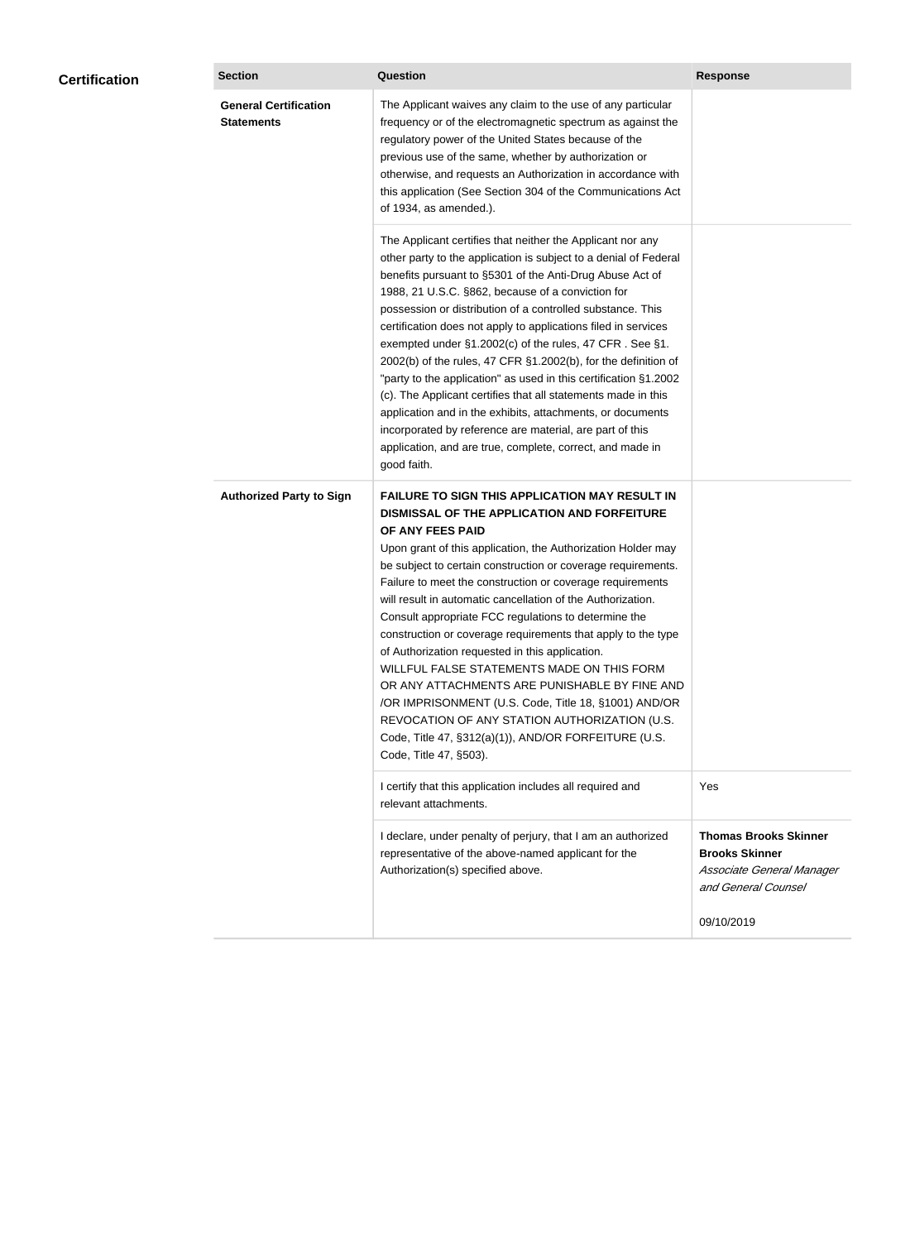| <b>Certification</b> | <b>Section</b>                                    | Question                                                                                                                                                                                                                                                                                                                                                                                                                                                                                                                                                                                                                                                                                                                                                                                                                                                  | <b>Response</b>                                                                                           |
|----------------------|---------------------------------------------------|-----------------------------------------------------------------------------------------------------------------------------------------------------------------------------------------------------------------------------------------------------------------------------------------------------------------------------------------------------------------------------------------------------------------------------------------------------------------------------------------------------------------------------------------------------------------------------------------------------------------------------------------------------------------------------------------------------------------------------------------------------------------------------------------------------------------------------------------------------------|-----------------------------------------------------------------------------------------------------------|
|                      | <b>General Certification</b><br><b>Statements</b> | The Applicant waives any claim to the use of any particular<br>frequency or of the electromagnetic spectrum as against the<br>regulatory power of the United States because of the<br>previous use of the same, whether by authorization or<br>otherwise, and requests an Authorization in accordance with<br>this application (See Section 304 of the Communications Act<br>of 1934, as amended.).                                                                                                                                                                                                                                                                                                                                                                                                                                                       |                                                                                                           |
|                      |                                                   | The Applicant certifies that neither the Applicant nor any<br>other party to the application is subject to a denial of Federal<br>benefits pursuant to §5301 of the Anti-Drug Abuse Act of<br>1988, 21 U.S.C. §862, because of a conviction for<br>possession or distribution of a controlled substance. This<br>certification does not apply to applications filed in services<br>exempted under §1.2002(c) of the rules, 47 CFR. See §1.<br>2002(b) of the rules, 47 CFR §1.2002(b), for the definition of<br>"party to the application" as used in this certification §1.2002<br>(c). The Applicant certifies that all statements made in this<br>application and in the exhibits, attachments, or documents<br>incorporated by reference are material, are part of this<br>application, and are true, complete, correct, and made in<br>good faith.   |                                                                                                           |
|                      | <b>Authorized Party to Sign</b>                   | <b>FAILURE TO SIGN THIS APPLICATION MAY RESULT IN</b><br>DISMISSAL OF THE APPLICATION AND FORFEITURE<br>OF ANY FEES PAID<br>Upon grant of this application, the Authorization Holder may<br>be subject to certain construction or coverage requirements.<br>Failure to meet the construction or coverage requirements<br>will result in automatic cancellation of the Authorization.<br>Consult appropriate FCC regulations to determine the<br>construction or coverage requirements that apply to the type<br>of Authorization requested in this application.<br>WILLFUL FALSE STATEMENTS MADE ON THIS FORM<br>OR ANY ATTACHMENTS ARE PUNISHABLE BY FINE AND<br>/OR IMPRISONMENT (U.S. Code, Title 18, §1001) AND/OR<br>REVOCATION OF ANY STATION AUTHORIZATION (U.S.<br>Code, Title 47, §312(a)(1)), AND/OR FORFEITURE (U.S.<br>Code, Title 47, §503). |                                                                                                           |
|                      |                                                   | I certify that this application includes all required and<br>relevant attachments.                                                                                                                                                                                                                                                                                                                                                                                                                                                                                                                                                                                                                                                                                                                                                                        | Yes                                                                                                       |
|                      |                                                   | I declare, under penalty of perjury, that I am an authorized<br>representative of the above-named applicant for the<br>Authorization(s) specified above.                                                                                                                                                                                                                                                                                                                                                                                                                                                                                                                                                                                                                                                                                                  | <b>Thomas Brooks Skinner</b><br><b>Brooks Skinner</b><br>Associate General Manager<br>and General Counsel |
|                      |                                                   |                                                                                                                                                                                                                                                                                                                                                                                                                                                                                                                                                                                                                                                                                                                                                                                                                                                           | 09/10/2019                                                                                                |